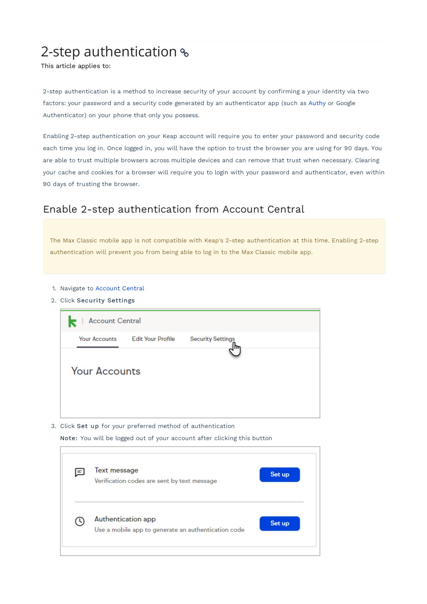# 2-step authentication  $\textdegree$

This article applies to:

2-step authentication is a method to increase security of your account by confirming a your identity via two factors: your password and a security code generated by an authenticator app (such as Authy or Google Authenticator) on your phone that only you possess.

Enabling 2-step authentication on your Keap account will require you to enter your password and security code each time you log in. Once logged in, you will have the option to trust the browser you are using for 90 days. You are able to trust multiple browsers across multiple devices and can remove that trust when necessary. Clearing your cache and cookies for a browser will require you to login with your password and authenticator, even within 90 days of trusting the browser.

### Enable 2-step authentication from Account Central

The Max Classic mobile app is not compatible with Keap's 2-step authentication at this time. Enabling 2-step authentication will prevent you from being able to log in to the Max Classic mobile app.

- 1. Navigate to Account Central
- 2. Click Security Settings

| k<br><b>Account Central</b> |                          |                          |  |
|-----------------------------|--------------------------|--------------------------|--|
| <b>Your Accounts</b>        | <b>Edit Your Profile</b> | <b>Security Settings</b> |  |
| <b>Your Accounts</b>        |                          |                          |  |

3. Click Set up for your preferred method of authentication

Note: You will be logged out of your account after clicking this button

| E | Text message<br>Verification codes are sent by text message               | Set up |
|---|---------------------------------------------------------------------------|--------|
|   | Authentication app<br>Use a mobile app to generate an authentication code | Set up |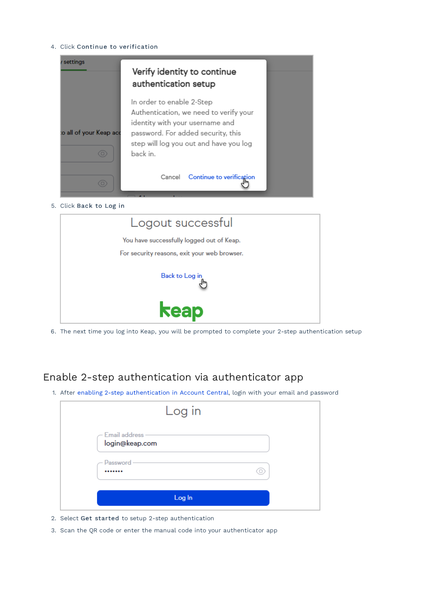4. Click Continue to verification





6. The next time you log into Keap, you will be prompted to complete your 2-step authentication setup

# Enable 2-step authentication via authenticator app

1. After enabling 2-step authentication in Account Central, login with your email and password

|                                         | Log in |
|-----------------------------------------|--------|
| $-$ Email address $-$<br>login@keap.com |        |
| Password-<br>                           |        |
|                                         | Log In |

- 2. Select Get started to setup 2-step authentication
- 3. Scan the QR code or enter the manual code into your authenticator app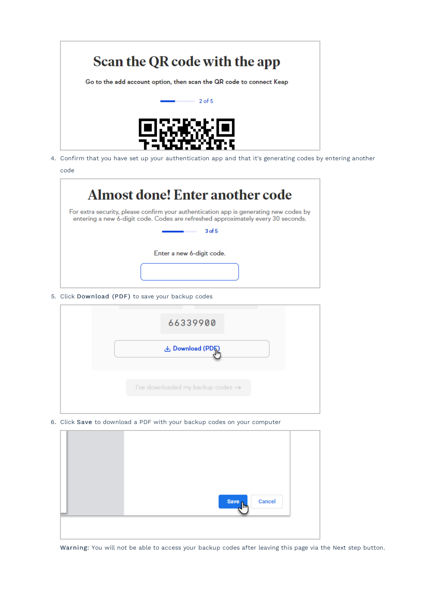

4. Confirm that you have set up your authentication app and that it's generating codes by entering another code

| Almost done! Enter another code                                                                                                                                           |
|---------------------------------------------------------------------------------------------------------------------------------------------------------------------------|
| For extra security, please confirm your authentication app is generating new codes by<br>entering a new 6-digit code. Codes are refreshed approximately every 30 seconds. |
| 3 <sub>of</sub> 5                                                                                                                                                         |
| Enter a new 6-digit code.                                                                                                                                                 |

5. Click Download (PDF) to save your backup codes



6. Click Save to download a PDF with your backup codes on your computer



Warning: You will not be able to access your backup codes after leaving this page via the Next step button.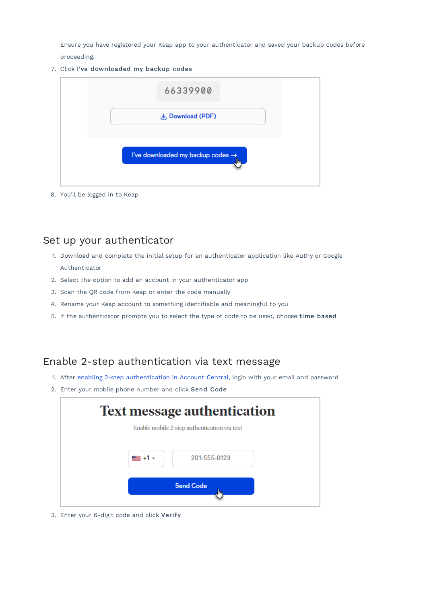Ensure you have registered your Keap app to your authenticator and saved your backup codes before proceeding.

7. Click I've downloaded my backup codes

| 66339900                                      |  |
|-----------------------------------------------|--|
| <b>↓</b> Download (PDF)                       |  |
| I've downloaded my backup codes $\rightarrow$ |  |

8. You'll be logged in to Keap

## Set up your authenticator

- 1. Download and complete the initial setup for an authenticator application like Authy or Google Authenticator
- 2. Select the option to add an account in your authenticator app
- 3. Scan the QR code from Keap or enter the code manually
- 4. Rename your Keap account to something identifiable and meaningful to you
- 5. If the authenticator prompts you to select the type of code to be used, choose time based

### Enable 2-step authentication via text message

- 1. After enabling 2-step authentication in Account Central, login with your email and password
- 2. Enter your mobile phone number and click Send Code

| <b>Text message authentication</b>           |
|----------------------------------------------|
| Enable mobile 2-step authentication via text |
| $= +1$ $\cdot$<br>201-555-0123               |
| <b>Send Code</b><br>lm,                      |
|                                              |

3. Enter your 6-digit code and click Verify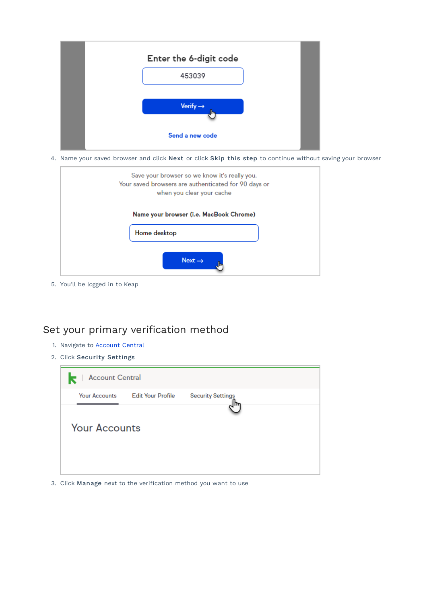

4. Name your saved browser and click Next or click Skip this step to continue without saving your browser



5. You'll be logged in to Keap

## Set your primary verification method

- 1. Navigate to Account Central
- 2. Click Security Settings



3. Click Manage next to the verification method you want to use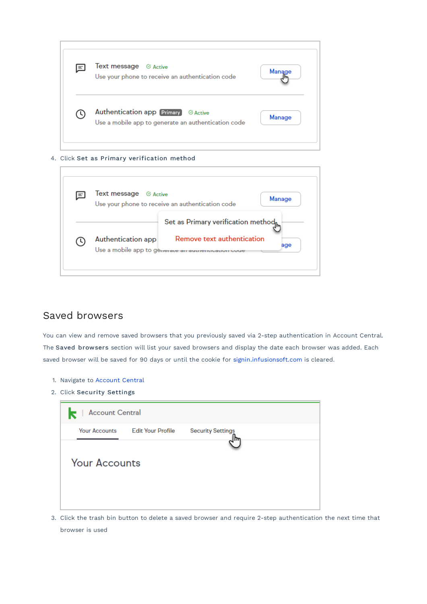| 国 | Text message $\heartsuit$ Active<br>Use your phone to receive an authentication code | Manage        |
|---|--------------------------------------------------------------------------------------|---------------|
|   | Use a mobile app to generate an authentication code                                  | <b>Manage</b> |

#### 4. Click Set as Primary verification method

| $\equiv$ | Text message<br>$\mathfrak{S}$ Active | <b>Manage</b><br>Use your phone to receive an authentication code |
|----------|---------------------------------------|-------------------------------------------------------------------|
|          |                                       |                                                                   |
|          |                                       | Set as Primary verification method $_{\mathsf{f\!h\!t}}$          |
|          | Authentication app                    | Remove text authentication                                        |
|          |                                       | age<br>Use a mobile app to generate an authentication code        |

### Saved browsers

J.

You can view and remove saved browsers that you previously saved via 2-step authentication in Account Central. The Saved browsers section will list your saved browsers and display the date each browser was added. Each saved browser will be saved for 90 days or until the cookie for signin.infusionsoft.com is cleared.

- 1. Navigate to Account Central
- 2. Click Security Settings

| <b>Account Central</b><br>k |                          |                          |  |
|-----------------------------|--------------------------|--------------------------|--|
| <b>Your Accounts</b>        | <b>Edit Your Profile</b> | <b>Security Settings</b> |  |
| <b>Your Accounts</b>        |                          |                          |  |

3. Click the trash bin button to delete a saved browser and require 2-step authentication the next time that browser is used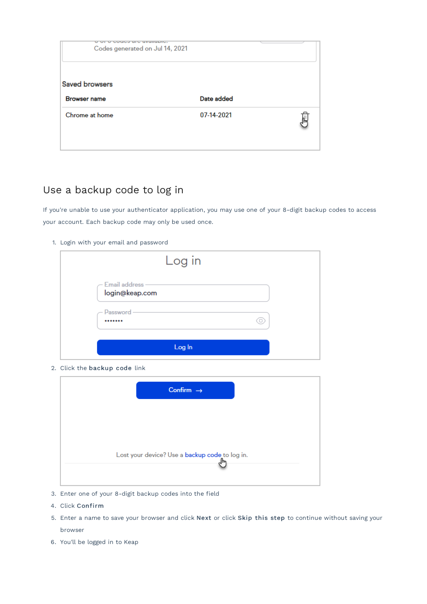| <b>NEWSLETT SERVICE BELLEVILLE</b><br>Codes generated on Jul 14, 2021 |            |  |
|-----------------------------------------------------------------------|------------|--|
| <b>Saved browsers</b><br><b>Browser name</b>                          | Date added |  |
| Chrome at home                                                        | 07-14-2021 |  |

# Use a backup code to log in

If you're unable to use your authenticator application, you may use one of your 8-digit backup codes to access your account. Each backup code may only be used once.

1. Login with your email and password

|                                         | Log in |  |
|-----------------------------------------|--------|--|
| $-$ Email address $-$<br>login@keap.com |        |  |
| Password -<br>                          |        |  |
|                                         | Log In |  |

2. Click the backup code link

| Confirm $\rightarrow$                          |  |
|------------------------------------------------|--|
|                                                |  |
|                                                |  |
| Lost your device? Use a backup code to log in. |  |

- 3. Enter one of your 8-digit backup codes into the field
- 4. Click Confirm
- 5. Enter a name to save your browser and click Next or click Skip this step to continue without saving your browser
- 6. You'll be logged in to Keap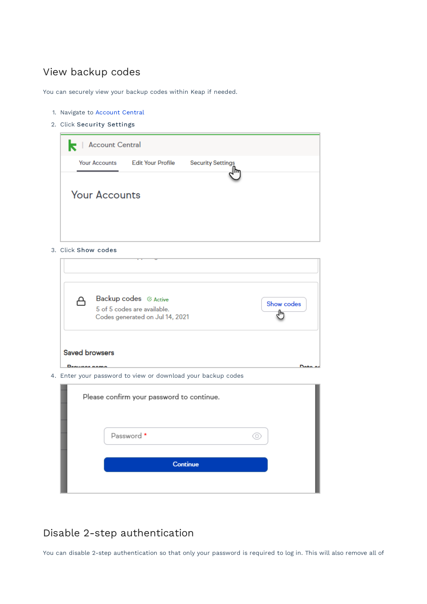# View backup codes

You can securely view your backup codes within Keap if needed.

- 1. Navigate to Account Central
- 2. Click Security Settings

| $\mathbf{k}$<br><b>Account Central</b> |                          |                          |  |
|----------------------------------------|--------------------------|--------------------------|--|
| <b>Your Accounts</b>                   | <b>Edit Your Profile</b> | <b>Security Settings</b> |  |
| <b>Your Accounts</b>                   |                          |                          |  |
|                                        |                          |                          |  |

3. Click Show codes

| ⇔ | Backup codes $\oslash$ Active   |            |
|---|---------------------------------|------------|
|   | 5 of 5 codes are available.     | Show codes |
|   | Codes generated on Jul 14, 2021 |            |
|   |                                 |            |

| Please confirm your password to continue. |
|-------------------------------------------|
| Password *                                |
| <b>Continue</b>                           |
|                                           |

# Disable 2-step authentication

You can disable 2-step authentication so that only your password is required to log in. This will also remove all of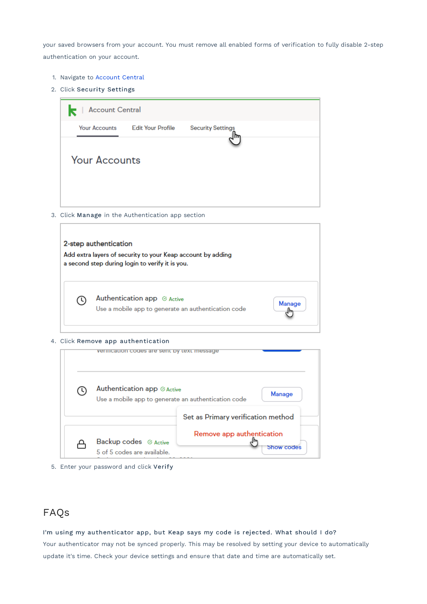your saved browsers from your account. You must remove all enabled forms of verification to fully disable 2-step authentication on your account.

- 1. Navigate to Account Central
- 2. Click Security Settings

| <b>Account Central</b> |                          |                          |  |
|------------------------|--------------------------|--------------------------|--|
| <b>Your Accounts</b>   | <b>Edit Your Profile</b> | <b>Security Settings</b> |  |
| <b>Your Accounts</b>   |                          |                          |  |

3. Click Manage in the Authentication app section

|      | 2-step authentication<br>Add extra layers of security to your Keap account by adding<br>a second step during login to verify it is you. |        |
|------|-----------------------------------------------------------------------------------------------------------------------------------------|--------|
| ( 4) | Authentication app ⊘ Active<br>Use a mobile app to generate an authentication code                                                      | Manage |

#### 4. Click Remove app authentication

|      | vermication codes are sent by text message                                                          |                                         |
|------|-----------------------------------------------------------------------------------------------------|-----------------------------------------|
| ( L) | Authentication app ⊗ Active<br><b>Manage</b><br>Use a mobile app to generate an authentication code |                                         |
|      |                                                                                                     | Set as Primary verification method      |
|      | Backup codes $\odot$ Active<br>5 of 5 codes are available.                                          | Remove app authentication<br>Show codes |

# FAQs

I'm using my authenticator app, but Keap says my code is rejected. What should I do?

Your authenticator may not be synced properly. This may be resolved by setting your device to automatically update it's time. Check your device settings and ensure that date and time are automatically set.

<sup>5.</sup> Enter your password and click Verify